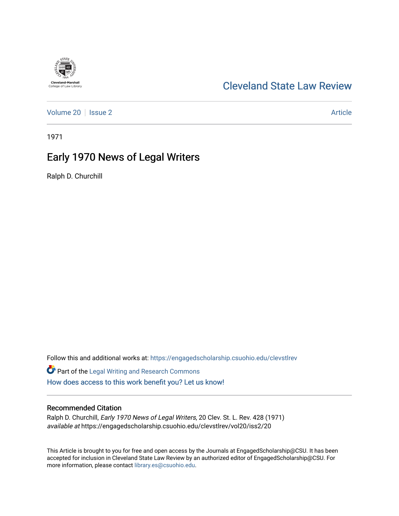# [Cleveland State Law Review](https://engagedscholarship.csuohio.edu/clevstlrev)

[Volume 20](https://engagedscholarship.csuohio.edu/clevstlrev/vol20) | [Issue 2](https://engagedscholarship.csuohio.edu/clevstlrev/vol20/iss2) Article

1971

## Early 1970 News of Legal Writers

Ralph D. Churchill

Follow this and additional works at: [https://engagedscholarship.csuohio.edu/clevstlrev](https://engagedscholarship.csuohio.edu/clevstlrev?utm_source=engagedscholarship.csuohio.edu%2Fclevstlrev%2Fvol20%2Fiss2%2F20&utm_medium=PDF&utm_campaign=PDFCoverPages)

Part of the [Legal Writing and Research Commons](http://network.bepress.com/hgg/discipline/614?utm_source=engagedscholarship.csuohio.edu%2Fclevstlrev%2Fvol20%2Fiss2%2F20&utm_medium=PDF&utm_campaign=PDFCoverPages)  [How does access to this work benefit you? Let us know!](http://library.csuohio.edu/engaged/)

### Recommended Citation

Ralph D. Churchill, Early 1970 News of Legal Writers, 20 Clev. St. L. Rev. 428 (1971) available at https://engagedscholarship.csuohio.edu/clevstlrev/vol20/iss2/20

This Article is brought to you for free and open access by the Journals at EngagedScholarship@CSU. It has been accepted for inclusion in Cleveland State Law Review by an authorized editor of EngagedScholarship@CSU. For more information, please contact [library.es@csuohio.edu](mailto:library.es@csuohio.edu).

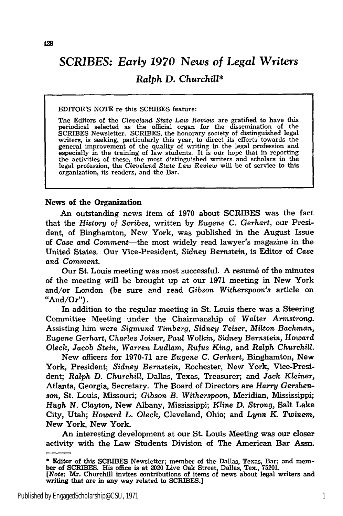### SCRIBES: *Early 1970 News of Legal Writers Ralph D. Churchill\**

EDITOR'S NOTE re this SCRIBES feature:

The Editors of the *Cleveland State Law Review* are gratified to have this periodical selected as the official organ for the dissemination of the SCRIBES Newsletter. SCRIBES, the honorary society of distinguished legal writers, is seeking, particularly this year, to direct its efforts towards the general improvement of the quality of writing in the legal profession especially in the training of law students. It is our hope that in reporting the activities of these, the most distinguished writers and scholars in the legal profession, the *Cleveland State Law Review* will be of service to this organization, its readers, and the Bar.

#### News of the Organization

An outstanding news item of 1970 about SCRIBES was the fact that the *History of Scribes,* written by *Eugene C. Gerhart,* our President, of Binghamton, New York, was published in the August Issue of *Case and Comment-the* most widely read lawyer's magazine in the United States. Our Vice-President, *Sidney* Bernstein, is Editor of Case *and Comment.*

Our St. Louis meeting was most successful. A resume of the minutes of the meeting will be brought up at our 1971 meeting in New York and/or London (be sure and read *Gibson Witherspoon's* article on "And/Or").

In addition to the regular meeting in St. Louis there was a Steering Committee Meeting under the Chairmanship of Walter Armstrong. Assisting him were *Sigmund Timberg, Sidney Teiser, Milton Bachman, Eugene* Gerhart, *Charles Joiner, Paul* Wolkin, *Sidney Bernstein,* Howard *Oleck, Jacob Stein, Warren Ludlam, Rufus King,* and *Ralph Churchill.*

New officers for 1970-71 are *Eugene C. Gerhart,* Binghamton, New York, President; *Sidney Bernstein,* Rochester, New York, Vice-President; *Ralph D. Churchill,* Dallas, Texas, Treasurer; and *Jack Kleiner,* Atlanta, Georgia, Secretary. The Board of Directors are *Harry Gershen*son, St. Louis, Missouri; *Gibson B. Witherspoon,* Meridian, Mississippi; *Hugh N.* Clayton, New Albany, Mississippi; Kline **D.** Strong, Salt Lake City, Utah; *Howard L. Oleck,* Cleveland, Ohio; and *Lynn K. Twinem,* New York, New York.

An interesting development at our St. Louis Meeting was our closer activity with the Law Students Division of The American Bar Assn.

**<sup>\*</sup>** Editor of this **SCRIBES** Newsletter; member of the Dallas, Texas, Bar; and mem- ber of SCRIBES. His office is at 2020 Live Oak Street, Dallas, Tex., 75201.

*<sup>[</sup>Note:* Mr. Churchill invites contributions of items of news about legal writers and writing that are in any way related to SCRIBES.]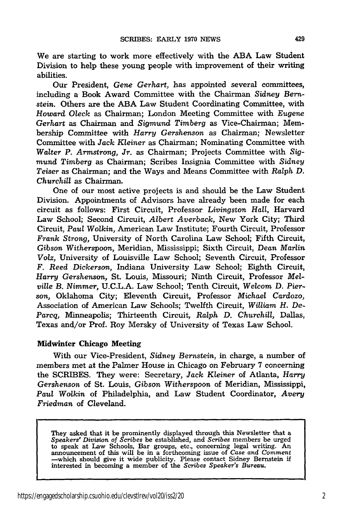We are starting to work more effectively with the **ABA** Law Student Division to help these young people with improvement of their writing abilities.

Our President, *Gene Gerhart,* has appointed several committees, including a Book Award Committee with the Chairman Sidney *Bernstein.* Others are the ABA Law Student Coordinating Committee, with *Howard Oleck* as Chairman; London Meeting Committee with *Eugene Gerhart* as Chairman and *Sigmund Timberg* as Vice-Chairman; Membership Committee with *Harry Gershenson* as Chairman; Newsletter Committee with *Jack Kleiner* as Chairman; Nominating Committee with Walter *P. Armstrong, Jr.* as Chairman; Projects Committee with *Sigmund Timberg* as Chairman; Scribes Insignia Committee with *Sidney Teiser* as Chairman; and the Ways and Means Committee with *Ralph D. Churchill* as Chairman.

One of our most active projects is and should be the Law Student Division. Appointments of Advisors have already been made for each circuit as follows: First Circuit, Professor *Livingston Hall,* Harvard Law School; Second Circuit, *Albert Averback,* New York City; Third Circuit, *Paul Wolkin,* American Law Institute; Fourth Circuit, Professor *Frank Strong,* University of North Carolina Law School; Fifth Circuit, Gibson *Witherspoon,* Meridian, Mississippi; Sixth Circuit, *Dean Marlin Volz,* University of Louisville Law School; Seventh Circuit, Professor *F. Reed Dickerson,* Indiana University Law School; Eighth Circuit, *Harry Gershenson,* St. Louis, Missouri; Ninth Circuit, Professor *Melville B. Nimmer,* U.C.L.A. Law School; Tenth Circuit, *Welcom D. Pierson,* Oklahoma City; Eleventh Circuit, Professor *Michael Cardozo,* Association of American Law Schools; Twelfth Circuit, *William H. De-Parcq,* Minneapolis; Thirteenth Circuit, *Ralph D. Churchill,* Dallas, Texas and/or Prof. Roy Mersky of University of Texas Law School.

#### Midwinter Chicago Meeting

With our Vice-President, *Sidney Bernstein,* in charge, a number of members met at the Palmer House in Chicago on February 7 concerning the SCRIBES. They were: Secretary, *Jack Kleiner* of Atlanta, *Harry Gershenson* of St. Louis, *Gibson Witherspoon* of Meridian, Mississippi, *Paul Wolkin* of Philadelphia, and Law Student Coordinator, *Avery Friedman* of Cleveland.

They asked that it be prominently displayed through this Newsletter that a *Speakers' Division of Scribes* be established, and *Scribes* members be urged to speak at Law Schools, Bar groups, etc., concerning legal writing. An announcement of this will be in a forthcoming issue of *Case and Comment* -which should give it wide publicity. Please contact Sidney Bernstein if interested in becoming a member of the *Scribes Speaker's Bureau.*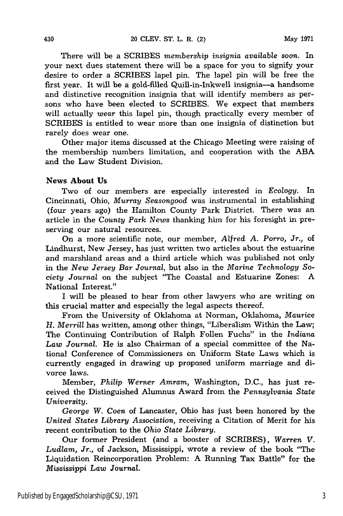There will be a SCRIBES *membership insignia available soon.* In your next dues statement there will be a space for you to signify your desire to order a SCRIBES lapel pin. The lapel pin will be free the first year. It will be a gold-filled Quill-in-Inkwell insignia-a handsome and distinctive recognition insignia that will identify members as persons who have been elected to SCRIBES. We expect that members will actually *wear* this lapel pin, though practically every member of SCRIBES is entitled to wear more than one insignia of distinction but rarely does wear one.

Other major items discussed at the Chicago Meeting were raising of the membership numbers limitation, and cooperation with the ABA and the Law Student Division.

### News **About Us**

Two of our members are especially interested in *Ecology.* In Cincinnati, Ohio, *Murray Seasongood* was instrumental in establishing (four years ago) the Hamilton County Park District. There was an article in the *County Park News* thanking him for his foresight in preserving our natural resources.

On a more scientific note, our member, *Alfred A. Porro,* Jr., of Lindhurst, New Jersey, has just written two articles about the estuarine and marshland areas and a third article which was published not only in the *New Jersey Bar Journal,* but also in the *Marine Technology Society Journal* on the subject "The Coastal and Estuarine Zones: A National Interest."

I will be pleased to hear from other lawyers who are writing on this crucial matter and especially the legal aspects thereof.

From the University of Oklahoma at Norman, Oklahoma, *Maurice H. Merrill* has written, among other things, "Liberalism Within the Law; The Continuing Contribution of Ralph Follen Fuchs" in the *Indiana Law Journal.* He is also Chairman of a special committee of the National Conference of Commissioners on Uniform State Laws which is currently engaged in drawing up proposed uniform marriage and divorce laws.

Member, *Philip Werner Amram,* Washington, D.C., has just received the Distinguished Alumnus Award from the *Pennsylvania State University.*

*George W. Coen* of Lancaster, Ohio has just been honored by the *United States Library Association,* receiving a Citation of Merit for his recent contribution to the *Ohio State Library.*

Our former President (and a booster of SCRIBES), *Warren V. Ludlam, Jr.,* of Jackson, Mississippi, wrote a review of the book "The Liquidation Reincorporation Problem: A Running Tax Battle" for the *Mississippi Law Journal.*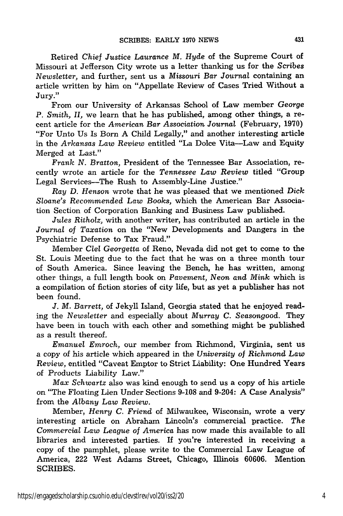Retired *Chief Justice Laurance M.* Hyde of the Supreme Court of Missouri at Jefferson City wrote us a letter thanking us for the *Scribes Newsletter,* and further, sent us a *Missouri Bar Journal* containing an article written by him on "Appellate Review of Cases Tried Without a Jury."

From our University of Arkansas School of Law member *George P. Smith, II,* we learn that he has published, among other things, a recent article for the *American Bar Association Journal* (February, 1970) "For Unto Us Is Born A Child Legally," and another interesting article in the *Arkansas Law Review* entitled "La Dolce Vita-Law and Equity Merged at Last."

*Frank N. Bratton,* President of the Tennessee Bar Association, recently wrote an article for the *Tennessee Law Review* titled "Group Legal Services-The Rush to Assembly-Line Justice."

*Ray D. Henson* wrote that he was pleased that we mentioned *Dick Sloane's* Recommended *Law Books,* which the American Bar Association Section of Corporation Banking and Business Law published.

*Jules Ritholz,* with another writer, has contributed an article in the *Journal of Taxation* on the "New Developments and Dangers in the Psychiatric Defense to Tax Fraud."

Member *Clel Georgetta* of Reno, Nevada did not get to come to the St. Louis Meeting due to the fact that he was on a three month tour of South America. Since leaving the Bench, he has written, among other things, a full length book on *Pavement,* Neon *and Mink* which is a compilation of fiction stories of city life, but as yet a publisher has not been found.

*J. M. Barrett,* of Jekyll Island, Georgia stated that he enjoyed reading the *Newsletter* and especially about *Murray C. Seasongood.* They have been in touch with each other and something might be published as a result thereof.

*Emanuel Emroch,* our member from Richmond, Virginia, sent us a copy of his article which appeared in the *University of Richmond Law Review,* entitled "Caveat Emptor to Strict Liability: One Hundred Years of Products Liability Law."

*Max Schwartz* also was kind enough to send us a copy of his article on "The Floating Lien Under Sections 9-108 and 9-204: A Case Analysis" from the *Albany Law Review.*

Member, *Henry C. Friend* of Milwaukee, Wisconsin, wrote a very interesting article on Abraham Lincoln's commercial practice. *The Commercial Law League of America* has now made this available to all libraries and interested parties. If you're interested in receiving a copy of the pamphlet, please write to the Commercial Law League of America, 222 West Adams Street, Chicago, Illinois 60606. Mention SCRIBES.